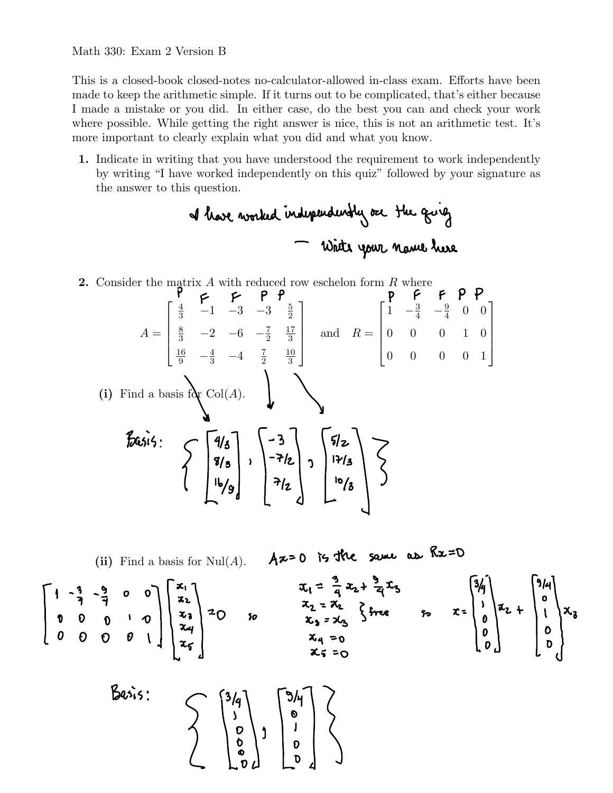## Math 330: Exam 2 Version B

This is a closed-book closed-notes no-calculator-allowed in-class exam. Efforts have been made to keep the arithmetic simple. If it turns out to be complicated, that's either because I made a mistake or you did. In either case, do the best you can and check your work where possible. While getting the right answer is nice, this is not an arithmetic test. It's more important to clearly explain what you did and what you know.

1. Indicate in writing that you have understood the requirement to work independently by writing "I have worked independently on this quiz" followed by your signature as the answer to this question.

**2.** Consider the matrix  $A$  with reduced row eschelon form  $R$  where  $\sqrt{ }$ 1  $\sqrt{ }$ 1  $\frac{4}{3}$  -1 -3 -3  $\frac{5}{2}$  $1 \quad -\frac{3}{4} \quad -\frac{9}{4} \quad 0 \quad 0$  $\begin{array}{c} \begin{array}{c} \begin{array}{c} \end{array} \\ \begin{array}{c} \end{array} \end{array} \end{array}$  $\begin{array}{c} \begin{array}{c} \begin{array}{c} \end{array} \\ \begin{array}{c} \end{array} \end{array} \end{array}$  $\begin{array}{c} \begin{array}{c} \begin{array}{c} \end{array} \\ \begin{array}{c} \end{array} \end{array} \end{array}$  $\begin{array}{c} \begin{array}{c} \begin{array}{c} \end{array} \\ \begin{array}{c} \end{array} \end{array} \end{array}$  $\frac{8}{3}$  -2 -6 - $\frac{7}{2}$ 17  $A =$ and  $R =$ 0 0 0 1 0 3  $\frac{16}{9}$   $-\frac{4}{3}$   $-4$   $\frac{7}{2}$ 10 0 0 0 0 1 3 (i) Find a basis for  $\text{Col}(A)$ .  $\begin{bmatrix} 2 & 3 & 3 \ 6 & 3 & 3 \ 1 & 1 & 6 \end{bmatrix}$   $\begin{bmatrix} 4/3 \\ 8/3 \\ 16/9 \end{bmatrix}$   $\begin{bmatrix} -3 \\ -7/2 \\ 7/2 \end{bmatrix}$   $\begin{bmatrix} 5/2 \\ 17/3 \\ 10/3 \end{bmatrix}$ 

(ii) Find a basis for Null(*A*). 
$$
Ax=0
$$
 is the same as  $Rx=0$   
\n $\begin{bmatrix}\n1 & -\frac{3}{7} & -\frac{9}{7} & 0 & 0 \\
0 & 0 & 0 & 0 \\
0 & 0 & 0 & 0\n\end{bmatrix}\n\begin{bmatrix}\nx_1 \\
x_2 \\
x_3 \\
x_4 \\
x_5\n\end{bmatrix}$  = 0, so  $\begin{cases}\nx_1 = \frac{3}{4}x_2 + \frac{9}{4}x_3 \\
x_2 = x_2 \\
x_3 = x_3\n\end{cases}$ 

 $R_{\gamma} = D$ 

 $\mathbf{r}$ 

$$
Basis: \begin{pmatrix} 3/4 \\ 3/8 \\ 0 \\ 0 \\ 0 \\ 0 \end{pmatrix} = \begin{pmatrix} 3/4 \\ 0 \\ 0 \\ 0 \\ 0 \end{pmatrix}
$$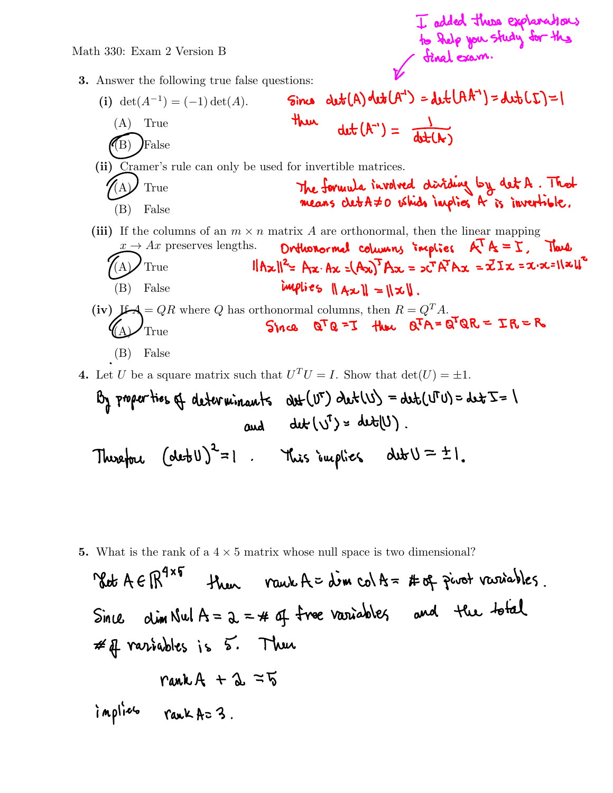I added these explanations<br>to help you study for the

## Math 330: Exam 2 Version B

- 3. Answer the following true false questions:
	- $det(A)det(A^{-1}) = det(A^{-1}) = det(L)$ Sinco (i) det( $A^{-1}$ ) = (-1) det(A). there  $\det(A^{\prime}) = \frac{1}{\det(A^{\prime})}$ (A) True  $\langle \rangle$  False (ii) Cramer's rule can only be used for invertible matrices. The formula involved diriding by det A. That True (B) False (iii) If the columns of an  $m \times n$  matrix A are orthonormal, then the linear mapping  $x \to Ax$  preserves lengths. **Driftshormal columns implies**  $\mathbb{R}^T \mathbb{A} = \mathbb{X}$ . Thus  $x \rightarrow Ax$  preserves lengths. Orthonormal columns implies  $A \setminus A = \Sigma$ , Thus<br>A) True  $\|A \times \|^2 = Ax \cdot Ax = (Ax)^T Ax = x^T A^T Ax = xIx = x \cdot x = \sqrt{x} \cdot b^T$ True implies  $||Ax|| = ||x||$ . (B) False (iv) If  $A = QR$  where Q has orthonormal columns, then  $R = Q^T A$ .<br>(A) True Since  $Q^T Q = I$  thus  $Q^T A = Q^T Q R = IR = R$ **True** 
		- (B) False

4. Let U be a square matrix such that  $U^T U = I$ . Show that  $det(U) = \pm 1$ .

By properties of determinants 
$$
dt(U^T) det(U) = dtH(U^T) = dtF = 1
$$
  
and  $dtU^T = dtH(U)$ .  
Thus that  $(det U)^2 = 1$ . Thus implies  $dtU = \pm 1$ .

5. What is the rank of a  $4 \times 5$  matrix whose null space is two dimensional?

\n
$$
46 \text{ R}^{4 \times 5}
$$
 \n Thus,  $\text{rank } A = \dim \text{col } A = \#\text{ of } \text{pivot variables}$ .\n

\n\n $\text{Sinc } \dim \text{Null } A = \lambda = \#\text{ of } \text{free variables} \quad \text{and} \quad \text{the total}$ \n

\n\n $\#\text{if variables is } 5$ . \n Thus,  $\text{rank } A + \lambda = 75$ \n

\n\n $\text{implize} \quad \text{rank } A = 3$ .\n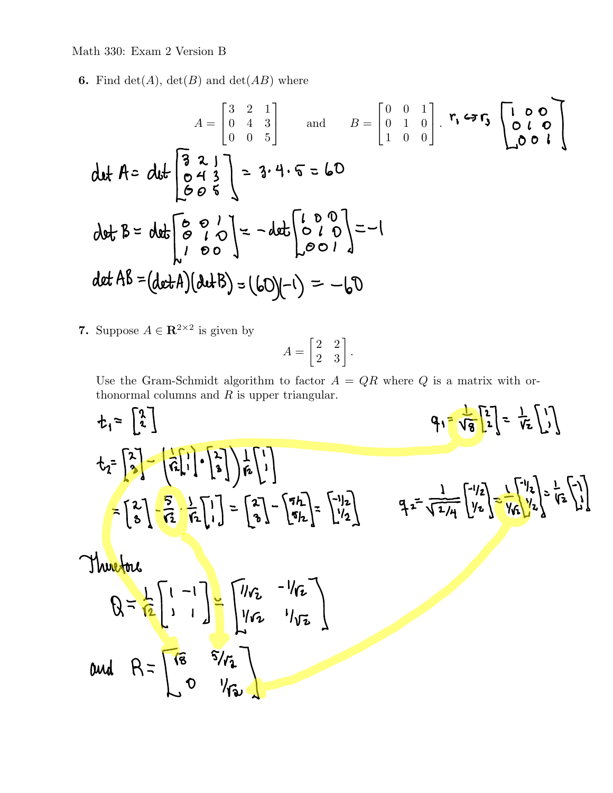## Math 330: Exam 2 Version B

**6.** Find  $det(A)$ ,  $det(B)$  and  $det(AB)$  where

$$
A = \begin{bmatrix} 3 & 2 & 1 \\ 0 & 4 & 3 \\ 0 & 0 & 5 \end{bmatrix} \text{ and } B = \begin{bmatrix} 0 & 0 & 1 \\ 0 & 1 & 0 \\ 1 & 0 & 0 \end{bmatrix} \cdot r_1 \Leftrightarrow r_3 \begin{bmatrix} 1 & 0 & 0 \\ 0 & 1 & 0 \\ 0 & 0 & 1 \end{bmatrix}
$$
  
det  $A = \text{det} \begin{bmatrix} 3 & 2 & 1 \\ 0 & 1 & 3 \\ 0 & 0 & 1 \end{bmatrix} = 3 \cdot 4 \cdot 5 = 60$   
det  $B = \text{det} \begin{bmatrix} 6 & 0 & 1 \\ 0 & 1 & 0 \\ 1 & 0 & 0 \end{bmatrix} = -1$   
det  $AB = (\text{det }A)(\text{det }B) = (60)(-1) = -60$ 

7. Suppose  $A \in \mathbb{R}^{2 \times 2}$  is given by

$$
A = \begin{bmatrix} 2 & 2 \\ 2 & 3 \end{bmatrix}.
$$

Use the Gram-Schmidt algorithm to factor  $A = QR$  where Q is a matrix with orthonormal columns and  $R$  is upper triangular.  $\blacksquare$ 

$$
t_{1} = \begin{bmatrix} \frac{3}{2} \end{bmatrix} \qquad q_{1} = \sqrt{\frac{3}{8}} \begin{bmatrix} \frac{3}{2} \end{bmatrix} = \left( \frac{3}{16} \begin{bmatrix} 1 \\ 1 \end{bmatrix} \cdot \begin{bmatrix} \frac{3}{2} \\ \frac{3}{2} \end{bmatrix} \right) = \left( \frac{3}{16} \begin{bmatrix} 1 \\ 1 \end{bmatrix} \right) = \begin{bmatrix} 2 \\ 3 \end{bmatrix} - \left( \frac{5}{16} \begin{bmatrix} 1 \\ 1 \end{bmatrix} \right) = \begin{bmatrix} 2 \\ 3 \end{bmatrix} - \left( \frac{5}{16} \begin{bmatrix} 1 \\ 1 \end{bmatrix} \right) = \begin{bmatrix} 2 \\ 3 \end{bmatrix} - \left( \frac{5}{16} \begin{bmatrix} 1 \\ 1 \end{bmatrix} \right) = \begin{bmatrix} 2 \\ 3 \end{bmatrix} - \left( \frac{5}{16} \begin{bmatrix} 1 \\ 1 \end{bmatrix} \right) = \begin{bmatrix} 1/2 \\ 1/2 \end{bmatrix} \qquad q_{1} = \frac{1}{\sqrt{2} \sqrt{14}} \begin{bmatrix} 1/2 \\ 1/2 \end{bmatrix} = \frac{1}{\sqrt{14}} \begin{bmatrix} 1/2 \\ 1/2 \end{bmatrix} = \frac{1}{\sqrt{14}} \begin{bmatrix} 1/2 \\ 1/2 \end{bmatrix} = \frac{1}{\sqrt{14}} \begin{bmatrix} 1/2 \\ 1/2 \end{bmatrix} = \frac{1}{\sqrt{14}} \begin{bmatrix} 1/2 \\ 1/2 \end{bmatrix} = \frac{1}{\sqrt{14}} \begin{bmatrix} 1/2 \\ 1/2 \end{bmatrix} = \frac{1}{\sqrt{14}} \begin{bmatrix} 1/2 \\ 1/2 \end{bmatrix} = \frac{1}{\sqrt{14}} \begin{bmatrix} 1/2 \\ 1/2 \end{bmatrix} = \frac{1}{\sqrt{14}} \begin{bmatrix} 1/2 \\ 1/2 \end{bmatrix} = \frac{1}{\sqrt{14}} \begin{bmatrix} 1/2 \\ 1/2 \end{bmatrix} = \frac{1}{\sqrt{14}} \begin{bmatrix} 1/2 \\ 1/2 \end{bmatrix} = \frac{1}{\sqrt{
$$

 $\sim$ 

$$
dud \quad R = \begin{bmatrix} \sqrt{8} & \sqrt{8} \\ 0 & \sqrt{8} \end{bmatrix}
$$